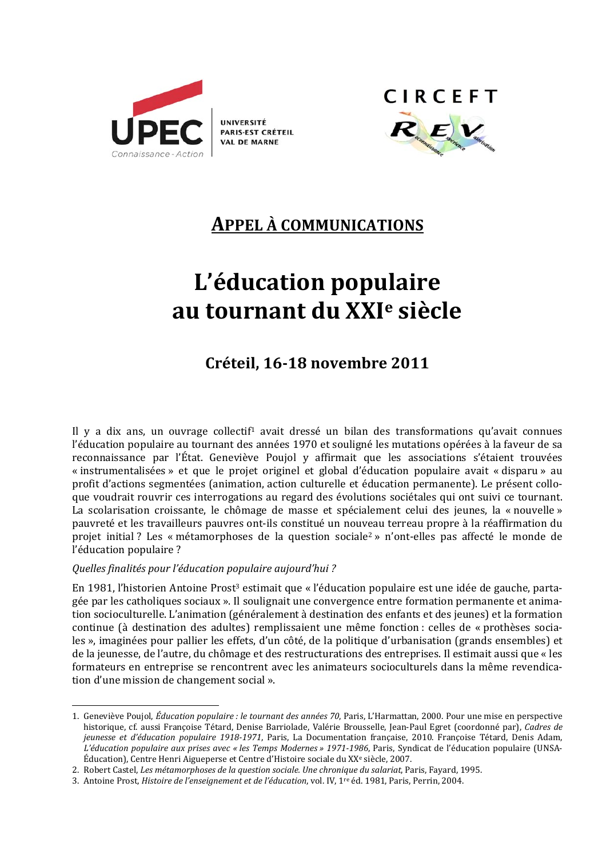

**UNIVERSITÉ** PARIS-EST CRÉTEIL **VAL DE MARNE** 



# **APPEL A COMMUNICATIONS**

# L'éducation populaire au tournant du XXI<sup>e</sup> siècle

# Créteil, 16-18 novembre 2011

Il y a dix ans, un ouvrage collectif<sup>1</sup> avait dressé un bilan des transformations qu'avait connues l'éducation populaire au tournant des années 1970 et souligné les mutations opérées à la faveur de sa reconnaissance par l'État. Geneviève Poujol y affirmait que les associations s'étaient trouvées « instrumentalisées » et que le projet originel et global d'éducation populaire avait « disparu » au profit d'actions segmentées (animation, action culturelle et éducation permanente). Le présent colloque voudrait rouvrir ces interrogations au regard des évolutions sociétales qui ont suivi ce tournant. La scolarisation croissante, le chômage de masse et spécialement celui des jeunes, la « nouvelle » pauvreté et les travailleurs pauvres ont-ils constitué un nouveau terreau propre à la réaffirmation du projet initial? Les « métamorphoses de la question sociale<sup>2</sup> » n'ont-elles pas affecté le monde de l'éducation populaire ?

# Quelles finalités pour l'éducation populaire aujourd'hui?

En 1981. l'historien Antoine Prost<sup>3</sup> estimait que « l'éducation populaire est une idée de gauche, partagée par les catholiques sociaux ». Il soulignait une convergence entre formation permanente et animation socioculturelle. L'animation (généralement à destination des enfants et des jeunes) et la formation continue (à destination des adultes) remplissaient une même fonction : celles de « prothèses sociales », imaginées pour pallier les effets, d'un côté, de la politique d'urbanisation (grands ensembles) et de la jeunesse, de l'autre, du chômage et des restructurations des entreprises. Il estimait aussi que « les formateurs en entreprise se rencontrent avec les animateurs socioculturels dans la même revendication d'une mission de changement social ».

<sup>1.</sup> Geneviève Poujol. Éducation populaire : le tournant des années 70. Paris. L'Harmattan. 2000. Pour une mise en perspective historique, cf. aussi Françoise Tétard. Denise Barriolade, Valérie Brousselle, Jean-Paul Egret (coordonné par), Cadres de jeunesse et d'éducation populaire 1918-1971, Paris, La Documentation française, 2010. Françoise Tétard, Denis Adam, L'éducation populaire aux prises avec « les Temps Modernes » 1971-1986, Paris, Syndicat de l'éducation populaire (UNSA-Éducation), Centre Henri Aigueperse et Centre d'Histoire sociale du XX<sup>e</sup> siècle, 2007.

<sup>2.</sup> Robert Castel, Les métamorphoses de la question sociale. Une chronique du salariat, Paris, Fayard, 1995.

<sup>3.</sup> Antoine Prost, *Histoire de l'enseignement et de l'éducation*, vol. IV, 1<sup>re</sup> éd. 1981, Paris, Perrin, 2004.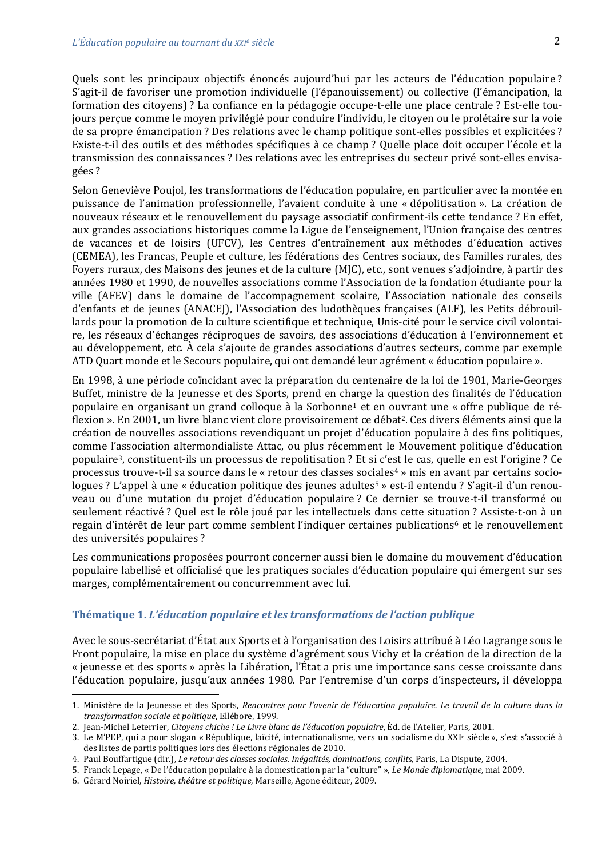Quels sont les principaux objectifs énoncés aujourd'hui par les acteurs de l'éducation populaire? S'agit-il de favoriser une promotion individuelle (l'épanouissement) ou collective (l'émancipation, la formation des citoyens)? La confiance en la pédagogie occupe-t-elle une place centrale? Est-elle toujours percue comme le moven privilégié pour conduire l'individu, le citoven ou le prolétaire sur la voie de sa propre émancipation? Des relations avec le champ politique sont-elles possibles et explicitées? Existe-t-il des outils et des méthodes spécifiques à ce champ ? Quelle place doit occuper l'école et la transmission des connaissances ? Des relations avec les entreprises du secteur privé sont-elles envisagées ?

Selon Geneviève Poujol, les transformations de l'éducation populaire, en particulier avec la montée en puissance de l'animation professionnelle, l'avaient conduite à une « dépolitisation ». La création de nouveaux réseaux et le renouvellement du paysage associatif confirment-ils cette tendance ? En effet, aux grandes associations historiques comme la Ligue de l'enseignement, l'Union française des centres de vacances et de loisirs (UFCV), les Centres d'entraînement aux méthodes d'éducation actives (CEMEA), les Francas, Peuple et culture, les fédérations des Centres sociaux, des Familles rurales, des Foyers ruraux, des Maisons des jeunes et de la culture (MJC), etc., sont venues s'adjoindre, à partir des années 1980 et 1990, de nouvelles associations comme l'Association de la fondation étudiante pour la ville (AFEV) dans le domaine de l'accompagnement scolaire, l'Association nationale des conseils d'enfants et de jeunes (ANACEI), l'Association des ludothèques françaises (ALF), les Petits débrouillards pour la promotion de la culture scientifique et technique, Unis-cité pour le service civil volontaire, les réseaux d'échanges réciproques de savoirs, des associations d'éducation à l'environnement et au développement, etc. À cela s'ajoute de grandes associations d'autres secteurs, comme par exemple ATD Quart monde et le Secours populaire, qui ont demandé leur agrément « éducation populaire ».

En 1998, à une période coïncidant avec la préparation du centenaire de la loi de 1901, Marie-Georges Buffet, ministre de la Jeunesse et des Sports, prend en charge la question des finalités de l'éducation populaire en organisant un grand colloque à la Sorbonne<sup>1</sup> et en ouvrant une « offre publique de réflexion ». En 2001, un livre blanc vient clore provisoirement ce débat<sup>2</sup>. Ces divers éléments ainsi que la création de nouvelles associations revendiquant un projet d'éducation populaire à des fins politiques, comme l'association altermondialiste Attac, ou plus récemment le Mouvement politique d'éducation populaire<sup>3</sup>, constituent-ils un processus de repolitisation ? Et si c'est le cas, quelle en est l'origine ? Ce processus trouve-t-il sa source dans le « retour des classes sociales<sup>4</sup> » mis en avant par certains sociologues ? L'appel à une « éducation politique des jeunes adultes<sup>5</sup> » est-il entendu ? S'agit-il d'un renouveau ou d'une mutation du projet d'éducation populaire ? Ce dernier se trouve-t-il transformé ou seulement réactivé ? Quel est le rôle joué par les intellectuels dans cette situation ? Assiste-t-on à un regain d'intérêt de leur part comme semblent l'indiquer certaines publications<sup>6</sup> et le renouvellement des universités populaires ?

Les communications proposées pourront concerner aussi bien le domaine du mouvement d'éducation populaire labellisé et officialisé que les pratiques sociales d'éducation populaire qui émergent sur ses marges, complémentairement ou concurremment avec lui.

#### Thématique 1. L'éducation populaire et les transformations de l'action publique

Avec le sous-secrétariat d'État aux Sports et à l'organisation des Loisirs attribué à Léo Lagrange sous le Front populaire, la mise en place du système d'agrément sous Vichy et la création de la direction de la « jeunesse et des sports » après la Libération, l'État a pris une importance sans cesse croissante dans l'éducation populaire, jusqu'aux années 1980. Par l'entremise d'un corps d'inspecteurs, il développa

<sup>1.</sup> Ministère de la Jeunesse et des Sports, Rencontres pour l'avenir de l'éducation populaire. Le travail de la culture dans la transformation sociale et politique, Ellébore, 1999.

<sup>2.</sup> Jean-Michel Leterrier, Citoyens chiche ! Le Livre blanc de l'éducation populaire, Éd. de l'Atelier, Paris, 2001.

<sup>3.</sup> Le M'PEP, qui a pour slogan « République, laïcité, internationalisme, vers un socialisme du XXI<sup>e</sup> siècle », s'est s'associé à des listes de partis politiques lors des élections régionales de 2010.

<sup>4.</sup> Paul Bouffartigue (dir.), Le retour des classes sociales. Inégalités, dominations, conflits, Paris, La Dispute, 2004.

<sup>5.</sup> Franck Lepage, « De l'éducation populaire à la domestication par la "culture" », Le Monde diplomatique, mai 2009.

<sup>6.</sup> Gérard Noiriel, Histoire, théâtre et politique, Marseille, Agone éditeur, 2009.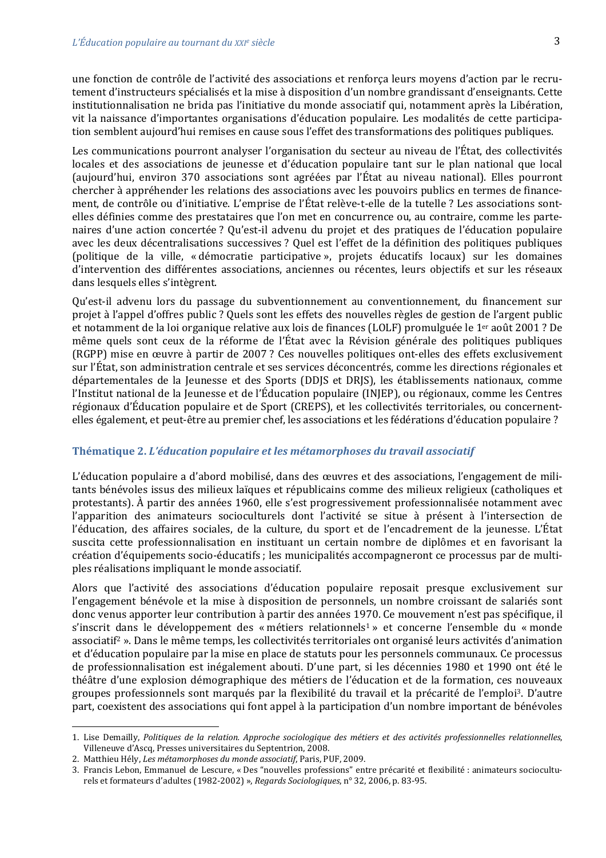une fonction de contrôle de l'activité des associations et renforça leurs moyens d'action par le recrutement d'instructeurs spécialisés et la mise à disposition d'un nombre grandissant d'enseignants. Cette institutionnalisation ne brida pas l'initiative du monde associatif qui, notamment après la Libération, vit la naissance d'importantes organisations d'éducation populaire. Les modalités de cette participation semblent aujourd'hui remises en cause sous l'effet des transformations des politiques publiques.

Les communications pourront analyser l'organisation du secteur au niveau de l'État, des collectivités locales et des associations de jeunesse et d'éducation populaire tant sur le plan national que local (aujourd'hui, environ 370 associations sont agréées par l'État au niveau national). Elles pourront chercher à appréhender les relations des associations avec les pouvoirs publics en termes de financement, de contrôle ou d'initiative. L'emprise de l'État relève-t-elle de la tutelle ? Les associations sontelles définies comme des prestataires que l'on met en concurrence ou, au contraire, comme les partenaires d'une action concertée ? Qu'est-il advenu du projet et des pratiques de l'éducation populaire avec les deux décentralisations successives ? Quel est l'effet de la définition des politiques publiques (politique de la ville, « démocratie participative », projets éducatifs locaux) sur les domaines d'intervention des différentes associations, anciennes ou récentes, leurs objectifs et sur les réseaux dans lesquels elles s'intègrent.

Qu'est-il advenu lors du passage du subventionnement au conventionnement, du financement sur projet à l'appel d'offres public ? Quels sont les effets des nouvelles règles de gestion de l'argent public et notamment de la loi organique relative aux lois de finances (LOLF) promulguée le 1<sup>er</sup> août 2001 ? De même quels sont ceux de la réforme de l'État avec la Révision générale des politiques publiques (RGPP) mise en œuvre à partir de 2007 ? Ces nouvelles politiques ont-elles des effets exclusivement sur l'État, son administration centrale et ses services déconcentrés, comme les directions régionales et départementales de la Jeunesse et des Sports (DDJS et DRJS), les établissements nationaux, comme l'Institut national de la Jeunesse et de l'Éducation populaire (INJEP), ou régionaux, comme les Centres régionaux d'Éducation populaire et de Sport (CREPS), et les collectivités territoriales, ou concernentelles également, et peut-être au premier chef, les associations et les fédérations d'éducation populaire ?

## Thématique 2. L'éducation populaire et les métamorphoses du travail associatif

L'éducation populaire a d'abord mobilisé, dans des œuvres et des associations, l'engagement de militants bénévoles issus des milieux laïques et républicains comme des milieux religieux (catholiques et protestants). À partir des années 1960, elle s'est progressivement professionnalisée notamment avec l'apparition des animateurs socioculturels dont l'activité se situe à présent à l'intersection de l'éducation, des affaires sociales, de la culture, du sport et de l'encadrement de la jeunesse. L'État suscita cette professionnalisation en instituant un certain nombre de diplômes et en favorisant la création d'équipements socio-éducatifs ; les municipalités accompagneront ce processus par de multiples réalisations impliquant le monde associatif.

Alors que l'activité des associations d'éducation populaire reposait presque exclusivement sur l'engagement bénévole et la mise à disposition de personnels, un nombre croissant de salariés sont donc venus apporter leur contribution à partir des années 1970. Ce mouvement n'est pas spécifique, il s'inscrit dans le développement des « métiers relationnels<sup>1</sup> » et concerne l'ensemble du « monde associatif<sup>2</sup>». Dans le même temps, les collectivités territoriales ont organisé leurs activités d'animation et d'éducation populaire par la mise en place de statuts pour les personnels communaux. Ce processus de professionnalisation est inégalement abouti. D'une part, si les décennies 1980 et 1990 ont été le théâtre d'une explosion démographique des métiers de l'éducation et de la formation, ces nouveaux groupes professionnels sont marqués par la flexibilité du travail et la précarité de l'emploi<sup>3</sup>. D'autre part, coexistent des associations qui font appel à la participation d'un nombre important de bénévoles

<sup>1.</sup> Lise Demailly, Politiques de la relation. Approche sociologique des métiers et des activités professionnelles relationnelles, Villeneuve d'Ascq, Presses universitaires du Septentrion, 2008.

<sup>2.</sup> Matthieu Hély, Les métamorphoses du monde associatif, Paris, PUF, 2009.

<sup>3.</sup> Francis Lebon, Emmanuel de Lescure, « Des "nouvelles professions" entre précarité et flexibilité : animateurs socioculturels et formateurs d'adultes (1982-2002) », Regards Sociologiques, n° 32, 2006, p. 83-95.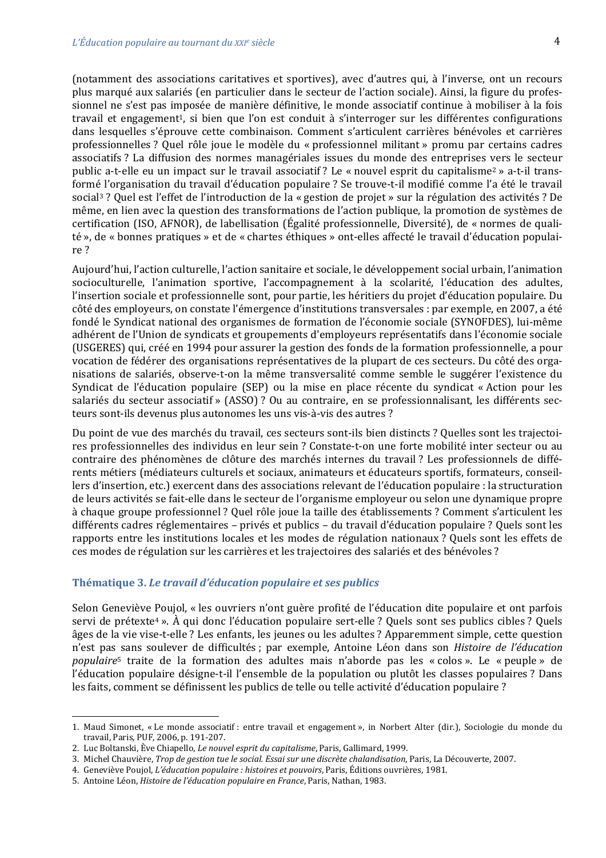(notamment des associations caritatives et sportives), avec d'autres qui, à l'inverse, ont un recours plus marqué aux salariés (en particulier dans le secteur de l'action sociale). Ainsi, la figure du professionnel ne s'est pas imposée de manière définitive, le monde associatif continue à mobiliser à la fois travail et engagement<sup>1</sup>, si bien que l'on est conduit à s'interroger sur les différentes configurations dans lesquelles s'éprouve cette combinaison. Comment s'articulent carrières bénévoles et carrières professionnelles ? Quel rôle joue le modèle du « professionnel militant » promu par certains cadres associatifs ? La diffusion des normes managériales issues du monde des entreprises vers le secteur public a-t-elle eu un impact sur le travail associatif? Le « nouvel esprit du capitalisme<sup>2</sup> » a-t-il transformé l'organisation du travail d'éducation populaire ? Se trouve-t-il modifié comme l'a été le travail social<sup>3</sup>? Quel est l'effet de l'introduction de la « gestion de projet » sur la régulation des activités? De même, en lien avec la question des transformations de l'action publique, la promotion de systèmes de certification (ISO, AFNOR), de labellisation (Égalité professionnelle, Diversité), de « normes de qualité », de « bonnes pratiques » et de « chartes éthiques » ont-elles affecté le travail d'éducation populaire?

Aujourd'hui, l'action culturelle, l'action sanitaire et sociale, le développement social urbain, l'animation socioculturelle, l'animation sportive, l'accompagnement à la scolarité, l'éducation des adultes, l'insertion sociale et professionnelle sont, pour partie, les héritiers du projet d'éducation populaire. Du côté des employeurs, on constate l'émergence d'institutions transversales : par exemple, en 2007, a été fondé le Syndicat national des organismes de formation de l'économie sociale (SYNOFDES), lui-même adhérent de l'Union de syndicats et groupements d'employeurs représentatifs dans l'économie sociale (USGERES) qui, créé en 1994 pour assurer la gestion des fonds de la formation professionnelle, a pour vocation de fédérer des organisations représentatives de la plupart de ces secteurs. Du côté des organisations de salariés, observe-t-on la même transversalité comme semble le suggérer l'existence du Syndicat de l'éducation populaire (SEP) ou la mise en place récente du syndicat « Action pour les salariés du secteur associatif » (ASSO) ? Ou au contraire, en se professionnalisant, les différents secteurs sont-ils devenus plus autonomes les uns vis-à-vis des autres ?

Du point de vue des marchés du travail, ces secteurs sont-ils bien distincts ? Quelles sont les trajectoires professionnelles des individus en leur sein ? Constate-t-on une forte mobilité inter secteur ou au contraire des phénomènes de clôture des marchés internes du travail? Les professionnels de différents métiers (médiateurs culturels et sociaux, animateurs et éducateurs sportifs, formateurs, conseillers d'insertion, etc.) exercent dans des associations relevant de l'éducation populaire : la structuration de leurs activités se fait-elle dans le secteur de l'organisme employeur ou selon une dynamique propre à chaque groupe professionnel ? Quel rôle joue la taille des établissements ? Comment s'articulent les différents cadres réglementaires – privés et publics – du travail d'éducation populaire ? Quels sont les rapports entre les institutions locales et les modes de régulation nationaux ? Quels sont les effets de ces modes de régulation sur les carrières et les trajectoires des salariés et des bénévoles ?

#### Thématique 3. Le travail d'éducation populaire et ses publics

Selon Geneviève Poujol, « les ouvriers n'ont guère profité de l'éducation dite populaire et ont parfois servi de prétexte<sup>4</sup>». À qui donc l'éducation populaire sert-elle ? Quels sont ses publics cibles ? Quels âges de la vie vise-t-elle ? Les enfants, les jeunes ou les adultes ? Apparemment simple, cette question n'est pas sans soulever de difficultés ; par exemple, Antoine Léon dans son Histoire de l'éducation populaire<sup>5</sup> traite de la formation des adultes mais n'aborde pas les « colos ». Le « peuple » de l'éducation populaire désigne-t-il l'ensemble de la population ou plutôt les classes populaires ? Dans les faits, comment se définissent les publics de telle ou telle activité d'éducation populaire ?

<sup>1.</sup> Maud Simonet, «Le monde associatif: entre travail et engagement», in Norbert Alter (dir.), Sociologie du monde du travail, Paris, PUF, 2006, p. 191-207.

<sup>2.</sup> Luc Boltanski, Ève Chiapello, Le nouvel esprit du capitalisme, Paris, Gallimard, 1999.

<sup>3.</sup> Michel Chauvière, Trop de gestion tue le social. Essai sur une discrète chalandisation, Paris, La Découverte, 2007.

<sup>4.</sup> Geneviève Poujol, L'éducation populaire : histoires et pouvoirs, Paris, Éditions ouvrières, 1981.

<sup>5.</sup> Antoine Léon, Histoire de l'éducation populaire en France, Paris, Nathan, 1983.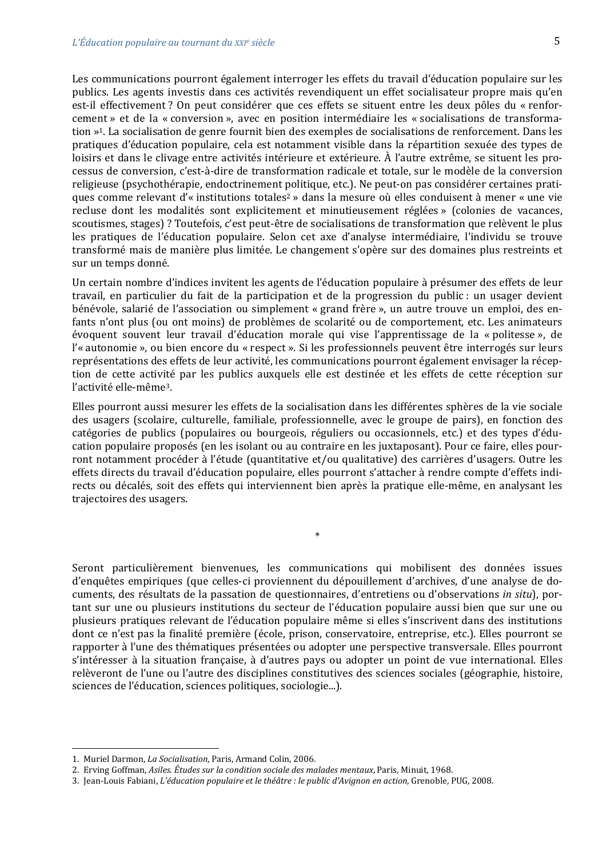Les communications pourront également interroger les effets du travail d'éducation populaire sur les publics. Les agents investis dans ces activités revendiquent un effet socialisateur propre mais qu'en est-il effectivement? On peut considérer que ces effets se situent entre les deux pôles du « renforcement » et de la « conversion », avec en position intermédiaire les « socialisations de transformation »<sup>1</sup>. La socialisation de genre fournit bien des exemples de socialisations de renforcement. Dans les pratiques d'éducation populaire, cela est notamment visible dans la répartition sexuée des types de loisirs et dans le clivage entre activités intérieure et extérieure. À l'autre extrême, se situent les processus de conversion, c'est-à-dire de transformation radicale et totale, sur le modèle de la conversion religieuse (psychothérapie, endoctrinement politique, etc.). Ne peut-on pas considérer certaines pratiques comme relevant d'« institutions totales<sup>2</sup> » dans la mesure où elles conduisent à mener « une vie recluse dont les modalités sont explicitement et minutieusement réglées » (colonies de vacances, scoutismes, stages) ? Toutefois, c'est peut-être de socialisations de transformation que relèvent le plus les pratiques de l'éducation populaire. Selon cet axe d'analyse intermédiaire, l'individu se trouve transformé mais de manière plus limitée. Le changement s'opère sur des domaines plus restreints et sur un temps donné.

Un certain nombre d'indices invitent les agents de l'éducation populaire à présumer des effets de leur travail, en particulier du fait de la participation et de la progression du public : un usager devient bénévole, salarié de l'association ou simplement « grand frère », un autre trouve un emploi, des enfants n'ont plus (ou ont moins) de problèmes de scolarité ou de comportement, etc. Les animateurs évoquent souvent leur travail d'éducation morale qui vise l'apprentissage de la « politesse », de l'« autonomie », ou bien encore du « respect ». Si les professionnels peuvent être interrogés sur leurs représentations des effets de leur activité, les communications pourront également envisager la réception de cette activité par les publics auxquels elle est destinée et les effets de cette réception sur l'activité elle-même<sup>3</sup>.

Elles pourront aussi mesurer les effets de la socialisation dans les différentes sphères de la vie sociale des usagers (scolaire, culturelle, familiale, professionnelle, avec le groupe de pairs), en fonction des catégories de publics (populaires ou bourgeois, réguliers ou occasionnels, etc.) et des types d'éducation populaire proposés (en les isolant ou au contraire en les juxtaposant). Pour ce faire, elles pourront notamment procéder à l'étude (quantitative et/ou qualitative) des carrières d'usagers. Outre les effets directs du travail d'éducation populaire, elles pourront s'attacher à rendre compte d'effets indirects ou décalés, soit des effets qui interviennent bien après la pratique elle-même, en analysant les trajectoires des usagers.

 $\ast$ 

Seront particulièrement bienvenues, les communications qui mobilisent des données issues d'enquêtes empiriques (que celles-ci proviennent du dépouillement d'archives, d'une analyse de documents, des résultats de la passation de questionnaires, d'entretiens ou d'observations in situ), portant sur une ou plusieurs institutions du secteur de l'éducation populaire aussi bien que sur une ou plusieurs pratiques relevant de l'éducation populaire même si elles s'inscrivent dans des institutions dont ce n'est pas la finalité première (école, prison, conservatoire, entreprise, etc.). Elles pourront se rapporter à l'une des thématiques présentées ou adopter une perspective transversale. Elles pourront s'intéresser à la situation française, à d'autres pays ou adopter un point de vue international. Elles relèveront de l'une ou l'autre des disciplines constitutives des sciences sociales (géographie, histoire, sciences de l'éducation, sciences politiques, sociologie...).

<sup>1.</sup> Muriel Darmon, La Socialisation, Paris, Armand Colin, 2006.

<sup>2.</sup> Erving Goffman, Asiles. Études sur la condition sociale des malades mentaux, Paris, Minuit, 1968.

<sup>3.</sup> Jean-Louis Fabiani, L'éducation populaire et le théâtre : le public d'Avignon en action, Grenoble, PUG, 2008.